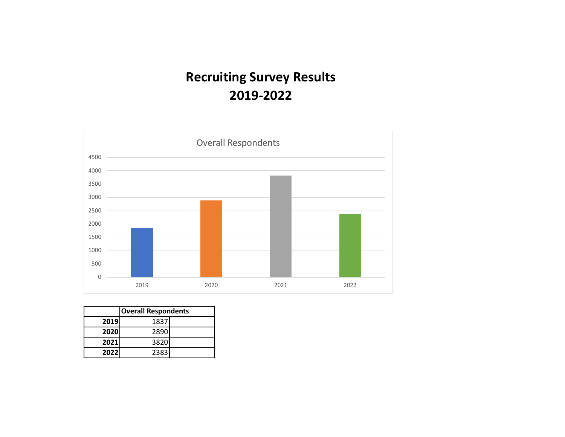# **Recruiting Survey Results 2019-2022**



|      | <b>Overall Respondents</b> |  |  |  |
|------|----------------------------|--|--|--|
| 2019 | 1837                       |  |  |  |
| 2020 | 2890                       |  |  |  |
| 2021 | 3820                       |  |  |  |
| 2022 | 2383                       |  |  |  |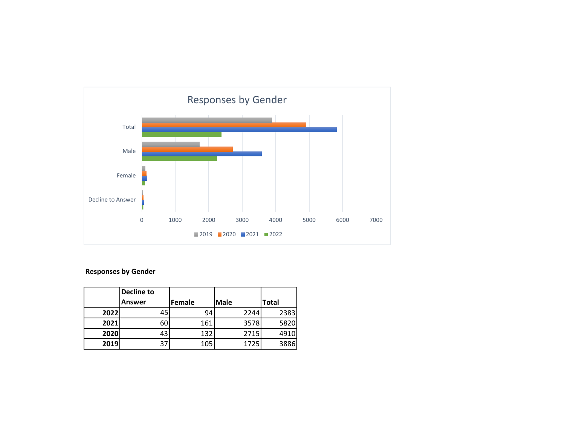

## **Responses by Gender**

|      | Decline to    |               |             |              |
|------|---------------|---------------|-------------|--------------|
|      | <b>Answer</b> | <b>Female</b> | <b>Male</b> | <b>Total</b> |
| 2022 | 45            | 94            | 2244        | 2383         |
| 2021 | 60            | 161           | 3578        | 5820         |
| 2020 | 43            | 132           | 2715        | 4910         |
| 2019 | 37            | 105           | 1725        | 3886         |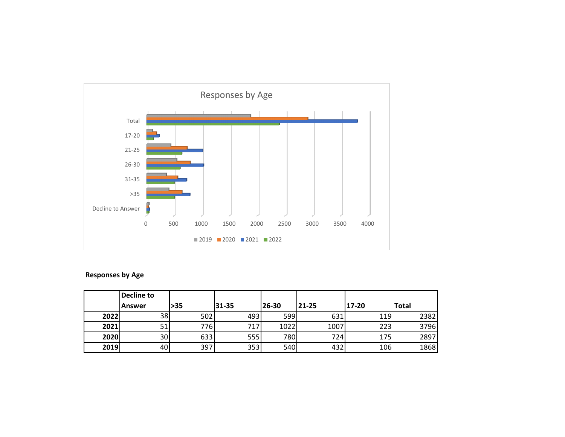

## **Responses by Age**

|      | <b>Decline to</b> |      |       |       |       |       |              |
|------|-------------------|------|-------|-------|-------|-------|--------------|
|      | lAnswer           | >35  | 31-35 | 26-30 | 21-25 | 17-20 | <b>Total</b> |
| 2022 | 38                | 502  | 493   | 599   | 631   | 119   | 2382         |
| 2021 | 51                | 776I | 717   | 1022  | 1007  | 223   | 3796         |
| 2020 | 30                | 633  | 555   | 780l  | 7241  | 175   | 2897         |
| 2019 | 40                | 397  | 353   | 540   | 432   | 106   | 1868         |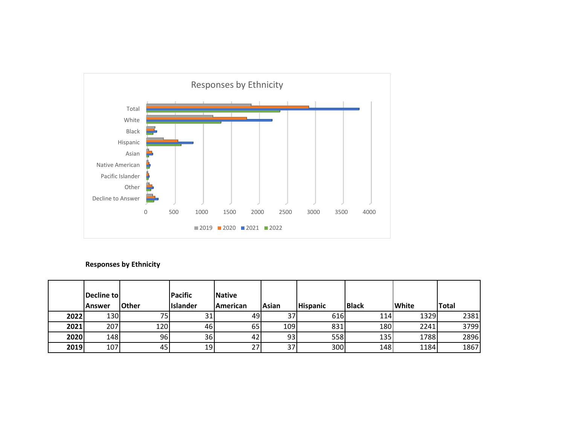

## **Responses by Ethnicity**

|      | Decline to<br>lAnswer | <b>Other</b> | Pacific<br>Islander | <b>Native</b><br>American | Asian | <b>Hispanic</b> | <b>Black</b> | <b>White</b> | <b>Total</b> |
|------|-----------------------|--------------|---------------------|---------------------------|-------|-----------------|--------------|--------------|--------------|
| 2022 | <b>1301</b>           | 75ı          | 31                  | 49                        | 37    | 616             | 114          | 1329         | 2381         |
| 2021 | 207                   | 120          | 46                  | 65                        | 109   | 831             | 180          | 2241         | 3799         |
| 2020 | 148                   | 96           | 36                  | 42                        | 93    | 558             | 135          | 1788         | 2896         |
| 2019 | 107                   | 45           | 19                  | 27                        | 37    | 300             | 148          | 1184         | 1867         |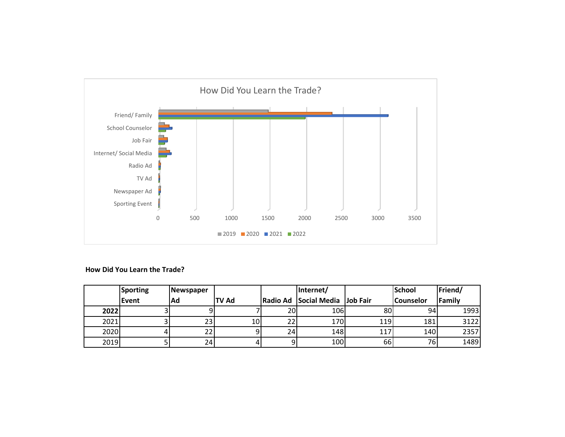

### **How Did You Learn the Trade?**

|      | <b>Sporting</b> | <b>Newspaper</b> |              |    | Internet/                      |     | <b>School</b> | Friend/ |
|------|-----------------|------------------|--------------|----|--------------------------------|-----|---------------|---------|
|      | Event           | Ad               | <b>TV Ad</b> |    | Radio Ad Social Media Job Fair |     | l Counselor   | Family  |
| 2022 |                 |                  |              | 20 | 106                            | 80  | 94            | 1993    |
| 2021 |                 | 23 <sub>l</sub>  | 10           | 22 | 170                            | 119 | 181           | 3122    |
| 2020 |                 |                  |              | 24 | 148                            | 117 | 140           | 2357    |
| 2019 |                 | 24               |              |    | 100                            | 66  | 76            | 1489    |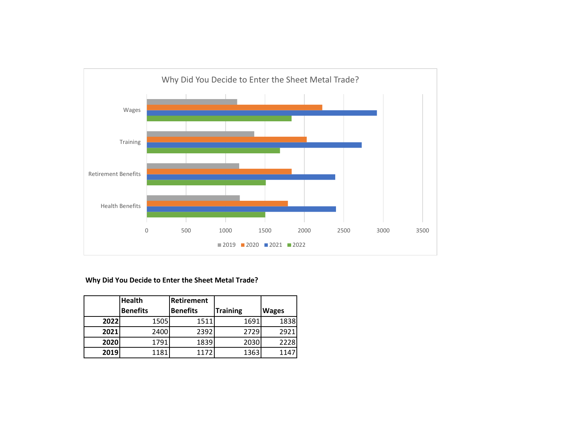

## **Why Did You Decide to Enter the Sheet Metal Trade?**

|      | <b>Health</b>   | <b>Retirement</b> |                 |              |
|------|-----------------|-------------------|-----------------|--------------|
|      | <b>Benefits</b> | <b>Benefits</b>   | <b>Training</b> | <b>Wages</b> |
| 2022 | 1505            | 1511              | 1691            | 1838         |
| 2021 | 2400            | 2392              | 2729            | 2921         |
| 2020 | 1791            | 1839              | 2030            | 2228         |
| 2019 | 1181            | 1172              | 1363            | 114          |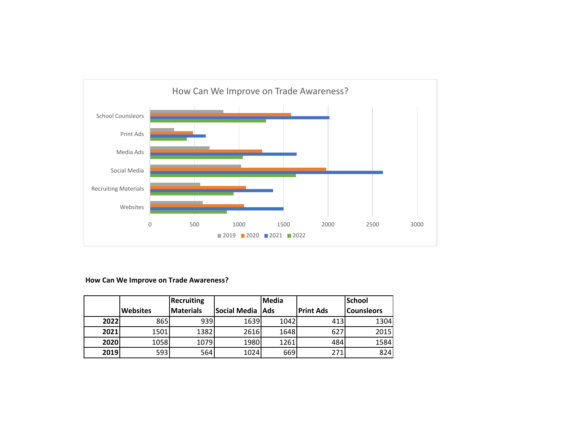

## **How Can We Improve on Trade Awareness?**

|      |                 | <b>Recruiting</b> |                    | Media |                  | <b>School</b>     |
|------|-----------------|-------------------|--------------------|-------|------------------|-------------------|
|      | <b>Websites</b> | <b>Materials</b>  | Social Media   Ads |       | <b>Print Ads</b> | <b>Counsleors</b> |
| 2022 | 865             | 939               | 1639               | 1042  | 413              | 1304              |
| 2021 | 1501            | 1382              | 2616               | 1648  | 627              | 2015              |
| 2020 | 1058            | 1079              | 1980               | 1261  | 484              | 1584              |
| 2019 | 593             | 564               | 1024               | 669   | 271              | 824               |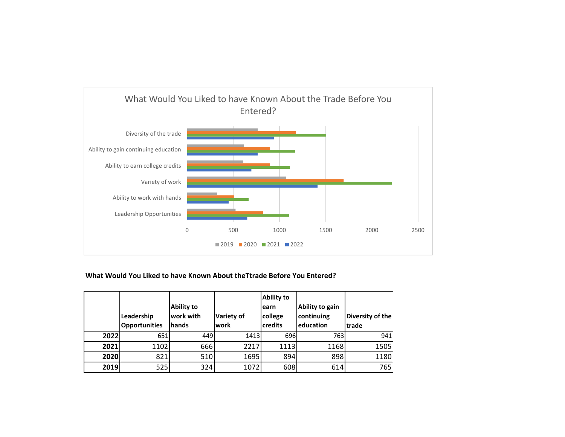

## **What Would You Liked to have Known About theTtrade Before You Entered?**

|      | Leadership<br><b>Opportunities</b> | <b>Ability to</b><br>work with<br><b>hands</b> | <b>Variety of</b><br>lwork | <b>Ability to</b><br>learn<br>college<br><b>credits</b> | Ability to gain<br>continuing<br>education | Diversity of the<br>trade |
|------|------------------------------------|------------------------------------------------|----------------------------|---------------------------------------------------------|--------------------------------------------|---------------------------|
| 2022 | 651                                | 449                                            | 1413                       | 696                                                     | 763                                        | 941                       |
| 2021 | 1102                               | 666                                            | 2217                       | 1113                                                    | 1168                                       | 1505                      |
| 2020 | 821                                | 510                                            | 1695                       | 894                                                     | 898                                        | 1180                      |
| 2019 | 525                                | 324                                            | 1072                       | 608                                                     | 614                                        | 765                       |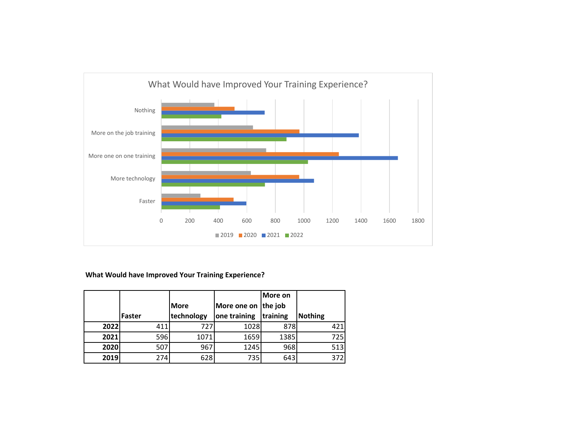

## **What Would have Improved Your Training Experience?**

|      |        |             |                     | More on  |                |
|------|--------|-------------|---------------------|----------|----------------|
|      |        | <b>More</b> | More one on the job |          |                |
|      | Faster | technology  | one training        | training | <b>Nothing</b> |
| 2022 | 411    | 727         | 1028                | 878      | 421            |
| 2021 | 596    | 1071        | 1659                | 1385     | 725            |
| 2020 | 507    | 967         | 1245                | 968      | 513            |
| 2019 | 274    | 628         | 735                 | 643      | 372            |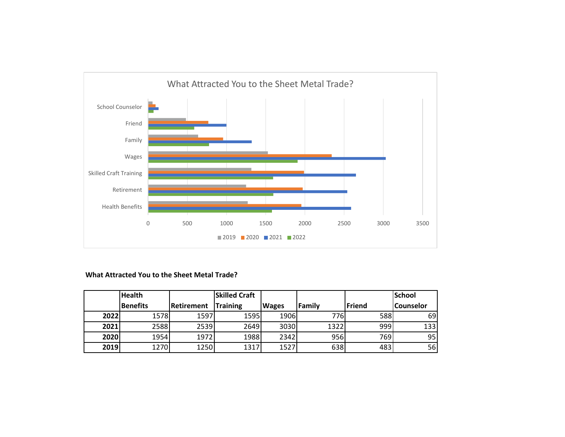

### **What Attracted You to the Sheet Metal Trade?**

|      | <b>Health</b> |            | <b>Skilled Craft</b> |              |           |        | <b>School</b>    |
|------|---------------|------------|----------------------|--------------|-----------|--------|------------------|
|      | Benefits      | Retirement | <b>Training</b>      | <b>Wages</b> | l Famil v | Friend | <b>Counselor</b> |
| 2022 | 1578          | 1597       | 1595                 | 1906         | 776       | 588    | 69               |
| 2021 | 2588          | 2539       | 2649                 | 3030         | 1322      | 999    | 133              |
| 2020 | 1954          | 1972       | 1988                 | 2342         | 956       | 769    | 95               |
| 2019 | 1270          | 1250       | 1317                 | 1527         | 638       | 483    | 56               |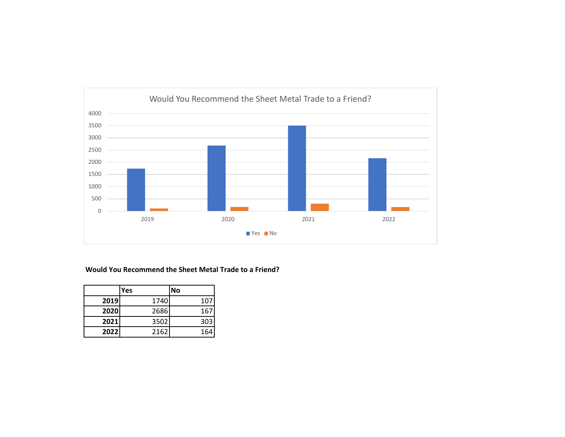

#### **Would You Recommend the Sheet Metal Trade to a Friend?**

|      | Yes  | No  |
|------|------|-----|
| 2019 | 1740 | 107 |
| 2020 | 2686 | 167 |
| 2021 | 3502 | 303 |
| 2022 | 2162 | 164 |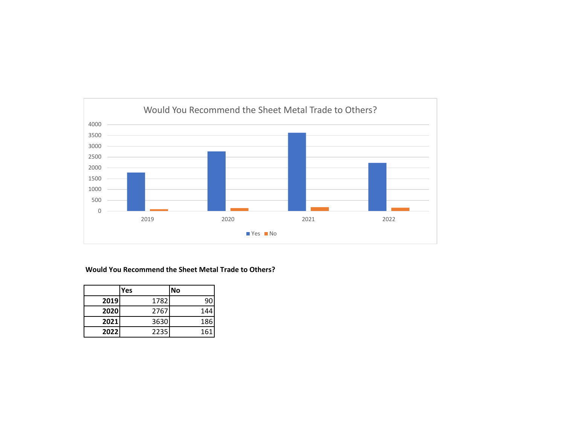

#### **Would You Recommend the Sheet Metal Trade to Others?**

|      | Yes  | No  |
|------|------|-----|
| 2019 | 1782 | 90  |
| 2020 | 2767 | 144 |
| 2021 | 3630 | 186 |
| 2022 | 2235 | 161 |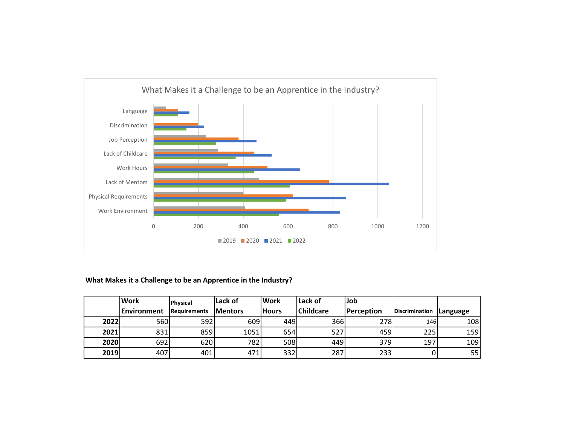

## **What Makes it a Challenge to be an Apprentice in the Industry?**

|      | <b>Work</b> | <b>Physical</b>     | Lack of         | <b>Work</b>  | Lack of          | Job        |                           |     |
|------|-------------|---------------------|-----------------|--------------|------------------|------------|---------------------------|-----|
|      | Environment | <b>Requirements</b> | <b>IMentors</b> | <b>Hours</b> | <b>Childcare</b> | Perception | Discrimination   Language |     |
| 2022 | 560         | 592                 | 609             | 449          | 366              | 278        | 146                       | 108 |
| 2021 | 831         | 859                 | 1051            | 654          | 527              | 459        | 225                       | 159 |
| 2020 | 692         | 620                 | 782             | 508          | 449              | 379        | 197                       | 109 |
| 2019 | 407         | 401                 | 471             | 332          | 287              | 233        |                           | 55  |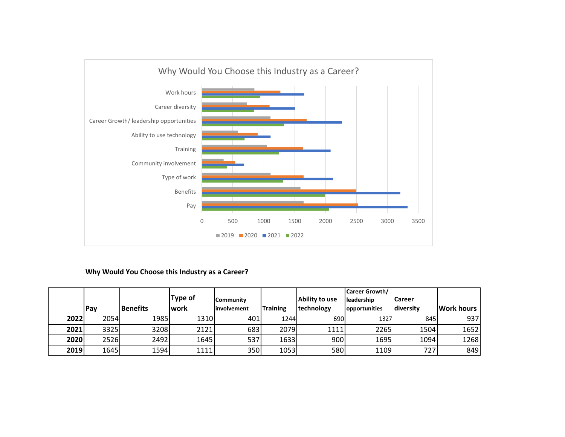

## **Why Would You Choose this Industry as a Career?**

|      |      |                 |                |              |                 |                    | Career Growth/ |               |                   |
|------|------|-----------------|----------------|--------------|-----------------|--------------------|----------------|---------------|-------------------|
|      |      |                 | <b>Type of</b> | l Communitv  |                 | Ability to use     | leadership     | <b>Career</b> |                   |
|      | Pay  | <b>Benefits</b> | lwork          | linvolvement | <b>Training</b> | <b>Itechnology</b> | opportunities  | diversity     | <b>Work hours</b> |
| 2022 | 2054 | 1985            | 1310           | 401          | 1244            | 690                | 1327           | 845           | 937               |
| 2021 | 3325 | 3208            | 2121           | 683          | 2079            | 1111               | 2265           | 1504          | 1652              |
| 2020 | 2526 | 2492            | 1645           | 537          | 1633            | 900                | 1695           | 1094          | 1268              |
| 2019 | 1645 | 1594            | 1111           | 350          | 1053            | 580                | 1109           | 727           | 849               |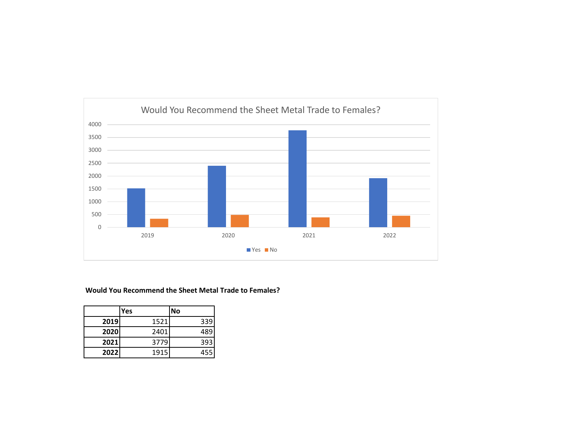

#### **Would You Recommend the Sheet Metal Trade to Females?**

|      | Yes  | No  |
|------|------|-----|
| 2019 | 1521 | 339 |
| 2020 | 2401 | 489 |
| 2021 | 3779 | 393 |
| 2022 | 1915 | 455 |